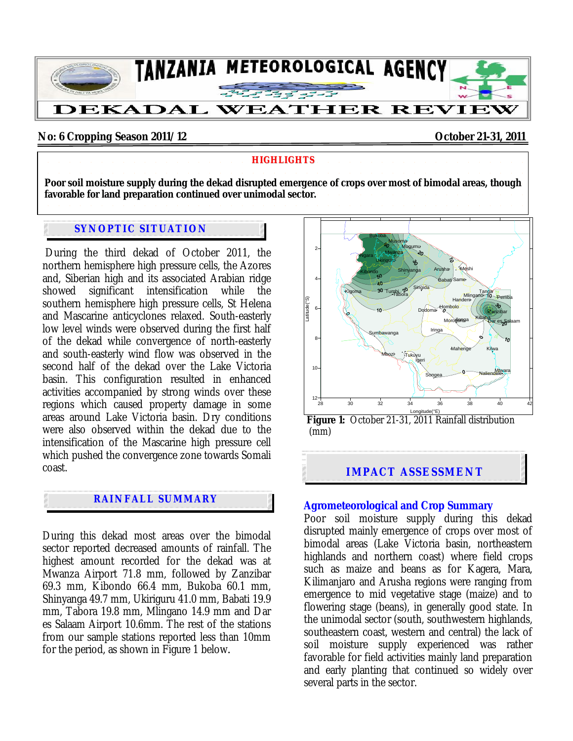

### **No: 6 Cropping Season 2011/12 October 21-31, 2011**

#### **HIGHLIGHTS**

**Poor soil moisture supply during the dekad disrupted emergence of crops over most of bimodal areas, though favorable for land preparation continued over unimodal sector.** 

## **SYNOPTIC SITUATION**

 During the third dekad of October 2011, the northern hemisphere high pressure cells, the Azores and, Siberian high and its associated Arabian ridge showed significant intensification while the southern hemisphere high pressure cells, St Helena and Mascarine anticyclones relaxed. South-easterly low level winds were observed during the first half of the dekad while convergence of north-easterly and south-easterly wind flow was observed in the second half of the dekad over the Lake Victoria basin. This configuration resulted in enhanced activities accompanied by strong winds over these regions which caused property damage in some areas around Lake Victoria basin. Dry conditions were also observed within the dekad due to the intensification of the Mascarine high pressure cell which pushed the convergence zone towards Somali coast.

# **RAINFALL SUMMARY**

.

During this dekad most areas over the bimodal sector reported decreased amounts of rainfall. The highest amount recorded for the dekad was at Mwanza Airport 71.8 mm, followed by Zanzibar 69.3 mm, Kibondo 66.4 mm, Bukoba 60.1 mm, Shinyanga 49.7 mm, Ukiriguru 41.0 mm, Babati 19.9 mm, Tabora 19.8 mm, Mlingano 14.9 mm and Dar es Salaam Airport 10.6mm. The rest of the stations from our sample stations reported less than 10mm for the period, as shown in Figure 1 below*.* 



Longitude(°E) **Figure 1:** October 21-31, 2011 Rainfall distribution (mm)

**IMPACT ASSESSMENT** 

#### **Agrometeorological and Crop Summary**

Poor soil moisture supply during this dekad disrupted mainly emergence of crops over most of bimodal areas (Lake Victoria basin, northeastern highlands and northern coast) where field crops such as maize and beans as for Kagera, Mara, Kilimanjaro and Arusha regions were ranging from emergence to mid vegetative stage (maize) and to flowering stage (beans), in generally good state. In the unimodal sector (south, southwestern highlands, southeastern coast, western and central) the lack of soil moisture supply experienced was rather favorable for field activities mainly land preparation and early planting that continued so widely over several parts in the sector.